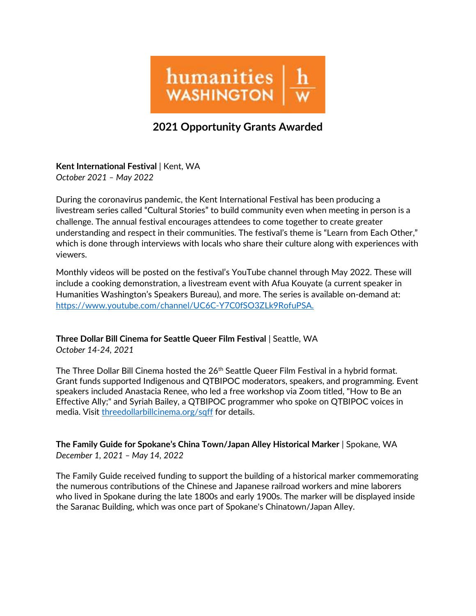

## 2021 Opportunity Grants Awarded

Kent International Festival | Kent, WA October 2021 – May 2022

During the coronavirus pandemic, the Kent International Festival has been producing a livestream series called "Cultural Stories" to build community even when meeting in person is a challenge. The annual festival encourages attendees to come together to create greater understanding and respect in their communities. The festival's theme is "Learn from Each Other," which is done through interviews with locals who share their culture along with experiences with viewers.

Monthly videos will be posted on the festival's YouTube channel through May 2022. These will include a cooking demonstration, a livestream event with Afua Kouyate (a current speaker in Humanities Washington's Speakers Bureau), and more. The series is available on-demand at: https://www.youtube.com/channel/UC6C-Y7C0fSO3ZLk9RofuPSA.

## Three Dollar Bill Cinema for Seattle Queer Film Festival | Seattle, WA

October 14-24, 2021

The Three Dollar Bill Cinema hosted the 26<sup>th</sup> Seattle Queer Film Festival in a hybrid format. Grant funds supported Indigenous and QTBIPOC moderators, speakers, and programming. Event speakers included Anastacia Renee, who led a free workshop via Zoom titled, "How to Be an Effective Ally;" and Syriah Bailey, a QTBIPOC programmer who spoke on QTBIPOC voices in media. Visit threedollarbillcinema.org/sqff for details.

The Family Guide for Spokane's China Town/Japan Alley Historical Marker | Spokane, WA December 1, 2021 – May 14, 2022

The Family Guide received funding to support the building of a historical marker commemorating the numerous contributions of the Chinese and Japanese railroad workers and mine laborers who lived in Spokane during the late 1800s and early 1900s. The marker will be displayed inside the Saranac Building, which was once part of Spokane's Chinatown/Japan Alley.